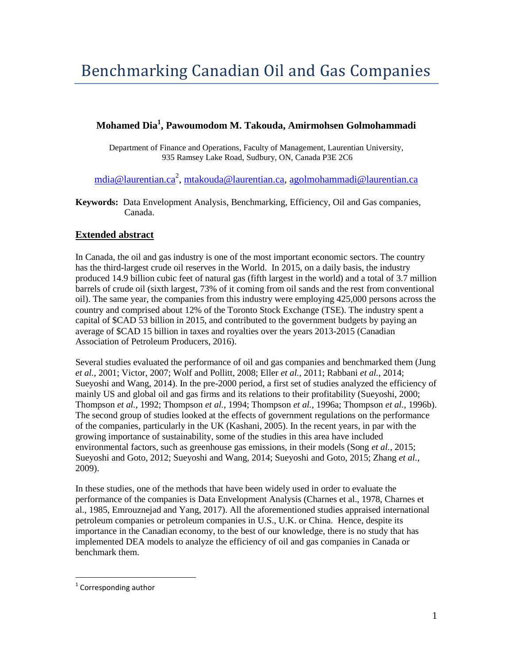## Benchmarking Canadian Oil and Gas Companies

## **Mohamed Dia<sup>1</sup> , Pawoumodom M. Takouda, Amirmohsen Golmohammadi**

Department of Finance and Operations, Faculty of Management, Laurentian University, 935 Ramsey Lake Road, Sudbury, ON, Canada P3E 2C6

<u>[mdia@laurentian.ca](mailto:mdia@laurentian.ca)<sup>2</sup>, [mtakouda@laurentian.ca,](mailto:mtakouda@laurentian.ca) [agolmohammadi@laurentian.ca](mailto:agolmohammadi@laurentian.ca)</u>

**Keywords:** Data Envelopment Analysis, Benchmarking, Efficiency, Oil and Gas companies, Canada.

## **Extended abstract**

In Canada, the oil and gas industry is one of the most important economic sectors. The country has the third-largest crude oil reserves in the World. In 2015, on a daily basis, the industry produced 14.9 billion cubic feet of natural gas (fifth largest in the world) and a total of 3.7 million barrels of crude oil (sixth largest, 73% of it coming from oil sands and the rest from conventional oil). The same year, the companies from this industry were employing 425,000 persons across the country and comprised about 12% of the Toronto Stock Exchange (TSE). The industry spent a capital of \$CAD 53 billion in 2015, and contributed to the government budgets by paying an average of \$CAD 15 billion in taxes and royalties over the years 2013-2015 (Canadian Association of Petroleum Producers, 2016).

Several studies evaluated the performance of oil and gas companies and benchmarked them (Jung *et al.*, 2001; Victor, 2007; Wolf and Pollitt, 2008; Eller *et al.*, 2011; Rabbani *et al.*, 2014; Sueyoshi and Wang, 2014). In the pre-2000 period, a first set of studies analyzed the efficiency of mainly US and global oil and gas firms and its relations to their profitability (Sueyoshi, 2000; Thompson *et al.*, 1992; Thompson *et al.*, 1994; Thompson *et al.*, 1996a; Thompson *et al.*, 1996b). The second group of studies looked at the effects of government regulations on the performance of the companies, particularly in the UK (Kashani, 2005). In the recent years, in par with the growing importance of sustainability, some of the studies in this area have included environmental factors, such as greenhouse gas emissions, in their models (Song *et al.*, 2015; Sueyoshi and Goto, 2012; Sueyoshi and Wang, 2014; Sueyoshi and Goto, 2015; Zhang *et al.*, 2009).

In these studies, one of the methods that have been widely used in order to evaluate the performance of the companies is Data Envelopment Analysis (Charnes et al., 1978, Charnes et al., 1985, Emrouznejad and Yang, 2017). All the aforementioned studies appraised international petroleum companies or petroleum companies in U.S., U.K. or China. Hence, despite its importance in the Canadian economy, to the best of our knowledge, there is no study that has implemented DEA models to analyze the efficiency of oil and gas companies in Canada or benchmark them.

<sup>&</sup>lt;u>a</u><br>I Corresponding author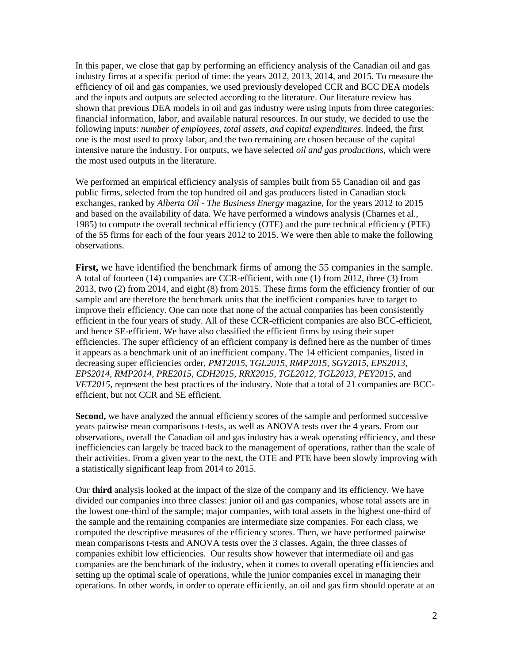In this paper, we close that gap by performing an efficiency analysis of the Canadian oil and gas industry firms at a specific period of time: the years 2012, 2013, 2014, and 2015. To measure the efficiency of oil and gas companies, we used previously developed CCR and BCC DEA models and the inputs and outputs are selected according to the literature. Our literature review has shown that previous DEA models in oil and gas industry were using inputs from three categories: financial information, labor, and available natural resources. In our study, we decided to use the following inputs: *number of employees, total assets, and capital expenditures*. Indeed, the first one is the most used to proxy labor, and the two remaining are chosen because of the capital intensive nature the industry. For outputs, we have selected *oil and gas productions*, which were the most used outputs in the literature.

We performed an empirical efficiency analysis of samples built from 55 Canadian oil and gas public firms, selected from the top hundred oil and gas producers listed in Canadian stock exchanges, ranked by *Alberta Oil - The Business Energy* magazine, for the years 2012 to 2015 and based on the availability of data. We have performed a windows analysis (Charnes et al., 1985) to compute the overall technical efficiency (OTE) and the pure technical efficiency (PTE) of the 55 firms for each of the four years 2012 to 2015. We were then able to make the following observations.

**First,** we have identified the benchmark firms of among the 55 companies in the sample. A total of fourteen (14) companies are CCR-efficient, with one (1) from 2012, three (3) from 2013, two (2) from 2014, and eight (8) from 2015. These firms form the efficiency frontier of our sample and are therefore the benchmark units that the inefficient companies have to target to improve their efficiency. One can note that none of the actual companies has been consistently efficient in the four years of study. All of these CCR-efficient companies are also BCC-efficient, and hence SE-efficient. We have also classified the efficient firms by using their super efficiencies. The super efficiency of an efficient company is defined here as the number of times it appears as a benchmark unit of an inefficient company. The 14 efficient companies, listed in decreasing super efficiencies order, *PMT2015, TGL2015, RMP2015, SGY2015, EPS2013, EPS2014, RMP2014, PRE2015, CDH2015, RRX2015, TGL2012, TGL2013, PEY2015,* and *VET2015*, represent the best practices of the industry. Note that a total of 21 companies are BCCefficient, but not CCR and SE efficient.

**Second,** we have analyzed the annual efficiency scores of the sample and performed successive years pairwise mean comparisons t-tests, as well as ANOVA tests over the 4 years. From our observations, overall the Canadian oil and gas industry has a weak operating efficiency, and these inefficiencies can largely be traced back to the management of operations, rather than the scale of their activities. From a given year to the next, the OTE and PTE have been slowly improving with a statistically significant leap from 2014 to 2015.

Our **third** analysis looked at the impact of the size of the company and its efficiency. We have divided our companies into three classes: junior oil and gas companies, whose total assets are in the lowest one-third of the sample; major companies, with total assets in the highest one-third of the sample and the remaining companies are intermediate size companies. For each class, we computed the descriptive measures of the efficiency scores. Then, we have performed pairwise mean comparisons t-tests and ANOVA tests over the 3 classes. Again, the three classes of companies exhibit low efficiencies. Our results show however that intermediate oil and gas companies are the benchmark of the industry, when it comes to overall operating efficiencies and setting up the optimal scale of operations, while the junior companies excel in managing their operations. In other words, in order to operate efficiently, an oil and gas firm should operate at an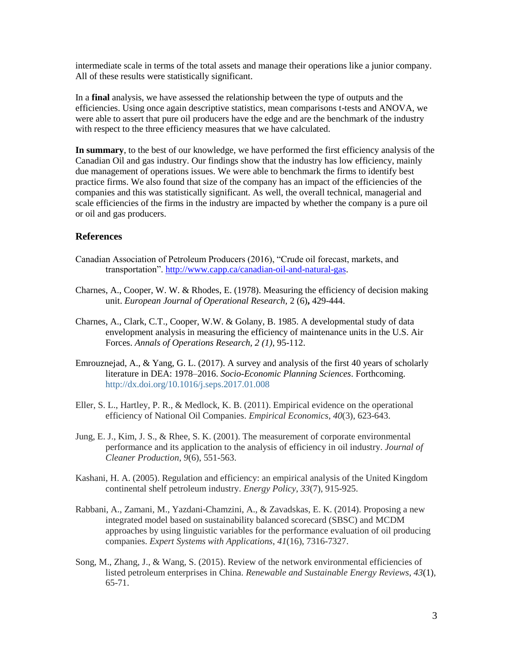intermediate scale in terms of the total assets and manage their operations like a junior company. All of these results were statistically significant.

In a **final** analysis, we have assessed the relationship between the type of outputs and the efficiencies. Using once again descriptive statistics, mean comparisons t-tests and ANOVA, we were able to assert that pure oil producers have the edge and are the benchmark of the industry with respect to the three efficiency measures that we have calculated.

**In summary**, to the best of our knowledge, we have performed the first efficiency analysis of the Canadian Oil and gas industry. Our findings show that the industry has low efficiency, mainly due management of operations issues. We were able to benchmark the firms to identify best practice firms. We also found that size of the company has an impact of the efficiencies of the companies and this was statistically significant. As well, the overall technical, managerial and scale efficiencies of the firms in the industry are impacted by whether the company is a pure oil or oil and gas producers.

## **References**

- Canadian Association of Petroleum Producers (2016), "Crude oil forecast, markets, and transportation". [http://www.capp.ca/canadian-oil-and-natural-gas.](http://www.capp.ca/canadian-oil-and-natural-gas)
- Charnes, A., Cooper, W. W. & Rhodes, E. (1978). Measuring the efficiency of decision making unit. *European Journal of Operational Research,* 2 (6)**,** 429-444.
- Charnes, A., Clark, C.T., Cooper, W.W. & Golany, B. 1985. A developmental study of data envelopment analysis in measuring the efficiency of maintenance units in the U.S. Air Forces. *Annals of Operations Research, 2 (1)*, 95-112.
- Emrouznejad, A., & Yang, G. L. (2017). A survey and analysis of the first 40 years of scholarly literature in DEA: 1978–2016. *Socio-Economic Planning Sciences*. Forthcoming. <http://dx.doi.org/10.1016/j.seps.2017.01.008>
- Eller, S. L., Hartley, P. R., & Medlock, K. B. (2011). Empirical evidence on the operational efficiency of National Oil Companies. *Empirical Economics*, *40*(3), 623-643.
- Jung, E. J., Kim, J. S., & Rhee, S. K. (2001). The measurement of corporate environmental performance and its application to the analysis of efficiency in oil industry. *Journal of Cleaner Production*, *9*(6), 551-563.
- Kashani, H. A. (2005). Regulation and efficiency: an empirical analysis of the United Kingdom continental shelf petroleum industry. *Energy Policy*, *33*(7), 915-925.
- Rabbani, A., Zamani, M., Yazdani-Chamzini, A., & Zavadskas, E. K. (2014). Proposing a new integrated model based on sustainability balanced scorecard (SBSC) and MCDM approaches by using linguistic variables for the performance evaluation of oil producing companies. *Expert Systems with Applications*, *41*(16), 7316-7327.
- Song, M., Zhang, J., & Wang, S. (2015). Review of the network environmental efficiencies of listed petroleum enterprises in China. *Renewable and Sustainable Energy Reviews*, *43*(1), 65-71.